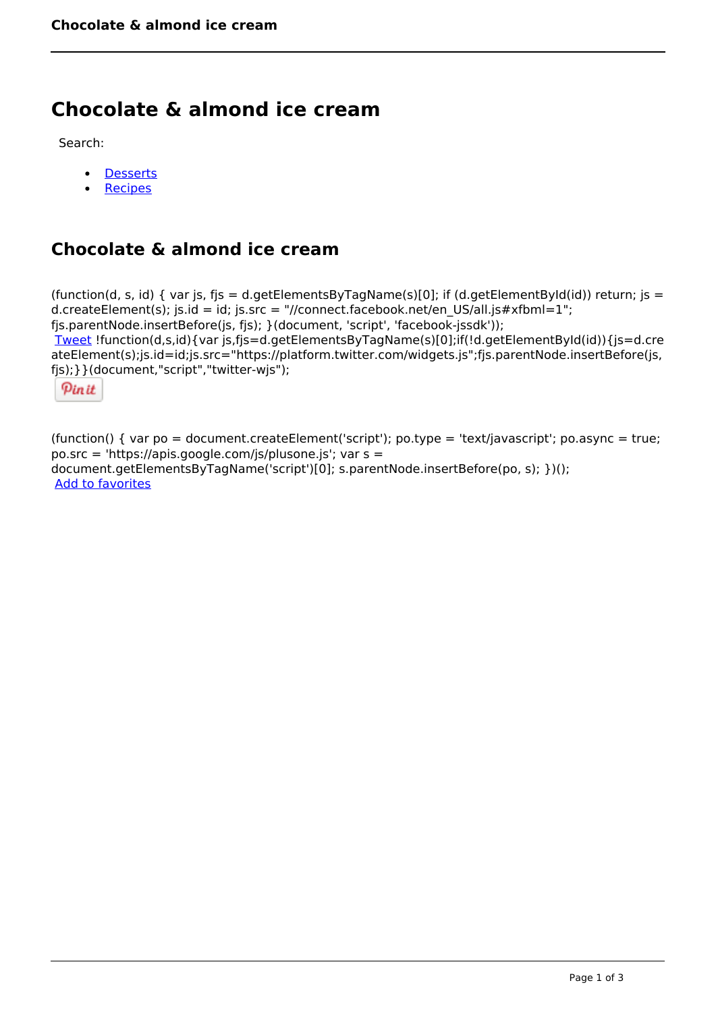## **Chocolate & almond ice cream**

Search:

- **[Desserts](https://www.naturalhealthmag.com.au/nourish/desserts)**  $\bullet$
- [Recipes](https://www.naturalhealthmag.com.au/nourish/recipes)

## **Chocolate & almond ice cream**

(function(d, s, id) { var js, fjs = d.getElementsByTagName(s)[0]; if (d.getElementById(id)) return; js = d.createElement(s); js.id = id; js.src = "//connect.facebook.net/en\_US/all.js#xfbml=1"; fjs.parentNode.insertBefore(js, fjs); }(document, 'script', 'facebook-jssdk')); [Tweet](https://twitter.com/share) !function(d,s,id){var js,fjs=d.getElementsByTagName(s)[0];if(!d.getElementById(id)){js=d.cre ateElement(s);js.id=id;js.src="https://platform.twitter.com/widgets.js";fjs.parentNode.insertBefore(js, fjs);}}(document,"script","twitter-wjs");

Pinit

(function() { var po = document.createElement('script'); po.type = 'text/javascript'; po.async = true; po.src = 'https://apis.google.com/js/plusone.js'; var s = document.getElementsByTagName('script')[0]; s.parentNode.insertBefore(po, s); })(); Add to favorites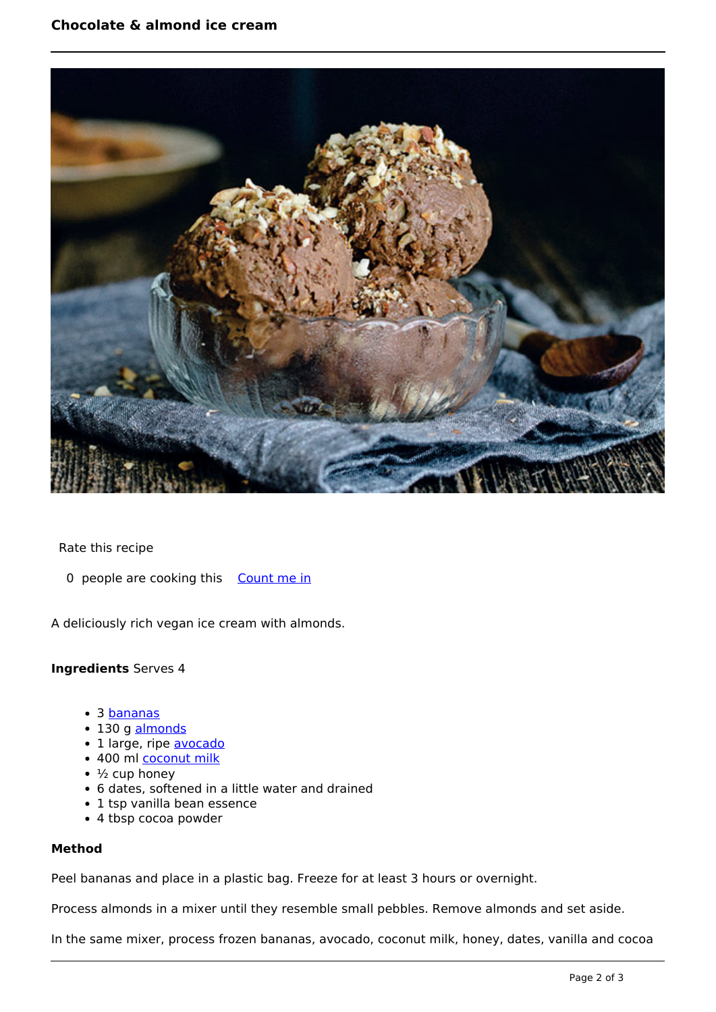

Rate this recipe

0 people are cooking this [Count me in](https://www.naturalhealthmag.com.au/flag/flag/favorites/2116?destination=printpdf%2F2116&token=6c78b996414bb7156e978ef59dcb4d94)

A deliciously rich vegan ice cream with almonds.

## **Ingredients** Serves 4

- 3 [bananas](http://www.naturalhealthmag.com.au/nourish/chocolate-banana-ice-cream)
- 130 g [almonds](http://www.naturalhealthmag.com.au/nourish/homeade-granola-bars-recipe)
- 1 large, ripe [avocado](http://www.naturalhealthmag.com.au/nourish/pear-avocado-%E2%80%A8rocket-open-sandwiches)
- 400 ml [coconut milk](http://www.naturalhealthmag.com.au/nourish/coconut-chia-pudding)
- $\cdot$   $\frac{1}{2}$  cup honey
- 6 dates, softened in a little water and drained
- 1 tsp vanilla bean essence
- 4 tbsp cocoa powder

## **Method**

Peel bananas and place in a plastic bag. Freeze for at least 3 hours or overnight.

Process almonds in a mixer until they resemble small pebbles. Remove almonds and set aside.

In the same mixer, process frozen bananas, avocado, coconut milk, honey, dates, vanilla and cocoa